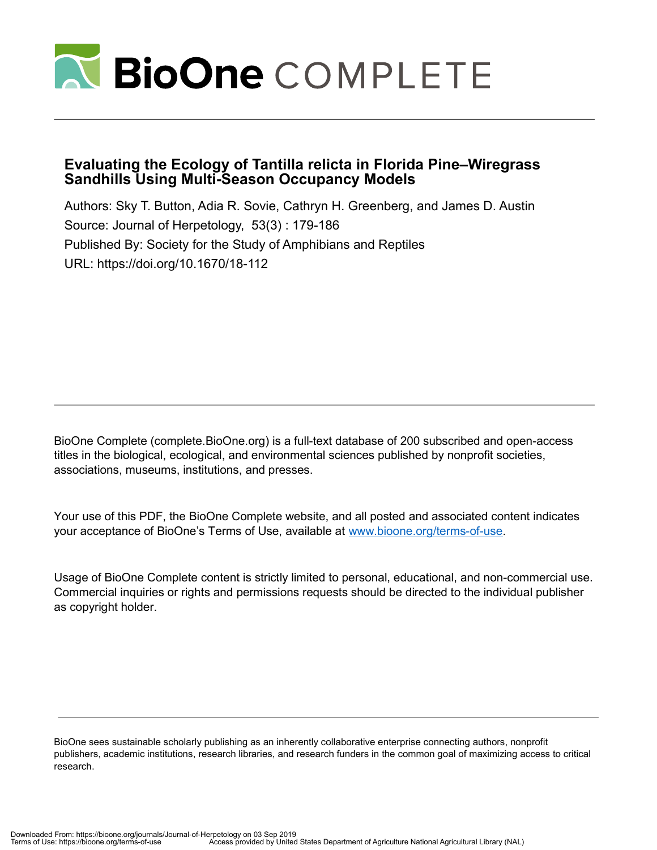

# **Evaluating the Ecology of Tantilla relicta in Florida Pine–Wiregrass Sandhills Using Multi-Season Occupancy Models**

Authors: Sky T. Button, Adia R. Sovie, Cathryn H. Greenberg, and James D. Austin Source: Journal of Herpetology, 53(3) : 179-186 Published By: Society for the Study of Amphibians and Reptiles URL: https://doi.org/10.1670/18-112

BioOne Complete (complete.BioOne.org) is a full-text database of 200 subscribed and open-access titles in the biological, ecological, and environmental sciences published by nonprofit societies, associations, museums, institutions, and presses.

Your use of this PDF, the BioOne Complete website, and all posted and associated content indicates your acceptance of BioOne's Terms of Use, available at www.bioone.org/terms-of-use.

Usage of BioOne Complete content is strictly limited to personal, educational, and non-commercial use. Commercial inquiries or rights and permissions requests should be directed to the individual publisher as copyright holder.

BioOne sees sustainable scholarly publishing as an inherently collaborative enterprise connecting authors, nonprofit publishers, academic institutions, research libraries, and research funders in the common goal of maximizing access to critical research.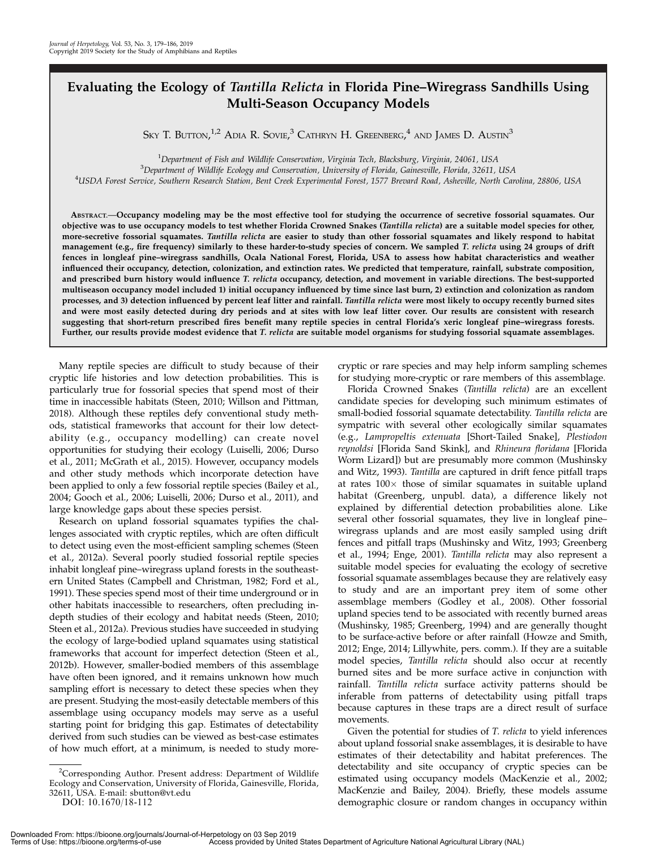## Evaluating the Ecology of Tantilla Relicta in Florida Pine–Wiregrass Sandhills Using Multi-Season Occupancy Models

Sky T. Button, $^{1,2}$  Adia R. Sovie, $^3$  Cathryn H. Greenberg, $^4$  and James D. Austin $^3$ 

<sup>1</sup>Department of Fish and Wildlife Conservation, Virginia Tech, Blacksburg, Virginia, 24061, USA<br><sup>3</sup>Department of Wildlife Ecology and Conservation, University of Elerida, Cainesville, Elerida, 32611

 ${}^{3}$ Department of Wildlife Ecology and Conservation, University of Florida, Gainesville, Florida, 32611, USA

USDA Forest Service, Southern Research Station, Bent Creek Experimental Forest, 1577 Brevard Road, Asheville, North Carolina, 28806, USA

ABSTRACT.—Occupancy modeling may be the most effective tool for studying the occurrence of secretive fossorial squamates. Our objective was to use occupancy models to test whether Florida Crowned Snakes (Tantilla relicta) are a suitable model species for other, more-secretive fossorial squamates. Tantilla relicta are easier to study than other fossorial squamates and likely respond to habitat management (e.g., fire frequency) similarly to these harder-to-study species of concern. We sampled T. relicta using 24 groups of drift fences in longleaf pine–wiregrass sandhills, Ocala National Forest, Florida, USA to assess how habitat characteristics and weather influenced their occupancy, detection, colonization, and extinction rates. We predicted that temperature, rainfall, substrate composition, and prescribed burn history would influence T. relicta occupancy, detection, and movement in variable directions. The best-supported multiseason occupancy model included 1) initial occupancy influenced by time since last burn, 2) extinction and colonization as random processes, and 3) detection influenced by percent leaf litter and rainfall. Tantilla relicta were most likely to occupy recently burned sites and were most easily detected during dry periods and at sites with low leaf litter cover. Our results are consistent with research suggesting that short-return prescribed fires benefit many reptile species in central Florida's xeric longleaf pine–wiregrass forests. Further, our results provide modest evidence that T. relicta are suitable model organisms for studying fossorial squamate assemblages.

Many reptile species are difficult to study because of their cryptic life histories and low detection probabilities. This is particularly true for fossorial species that spend most of their time in inaccessible habitats (Steen, 2010; Willson and Pittman, 2018). Although these reptiles defy conventional study methods, statistical frameworks that account for their low detectability (e.g., occupancy modelling) can create novel opportunities for studying their ecology (Luiselli, 2006; Durso et al., 2011; McGrath et al., 2015). However, occupancy models and other study methods which incorporate detection have been applied to only a few fossorial reptile species (Bailey et al., 2004; Gooch et al., 2006; Luiselli, 2006; Durso et al., 2011), and large knowledge gaps about these species persist.

Research on upland fossorial squamates typifies the challenges associated with cryptic reptiles, which are often difficult to detect using even the most-efficient sampling schemes (Steen et al., 2012a). Several poorly studied fossorial reptile species inhabit longleaf pine–wiregrass upland forests in the southeastern United States (Campbell and Christman, 1982; Ford et al., 1991). These species spend most of their time underground or in other habitats inaccessible to researchers, often precluding indepth studies of their ecology and habitat needs (Steen, 2010; Steen et al., 2012a). Previous studies have succeeded in studying the ecology of large-bodied upland squamates using statistical frameworks that account for imperfect detection (Steen et al., 2012b). However, smaller-bodied members of this assemblage have often been ignored, and it remains unknown how much sampling effort is necessary to detect these species when they are present. Studying the most-easily detectable members of this assemblage using occupancy models may serve as a useful starting point for bridging this gap. Estimates of detectability derived from such studies can be viewed as best-case estimates of how much effort, at a minimum, is needed to study morecryptic or rare species and may help inform sampling schemes for studying more-cryptic or rare members of this assemblage.

Florida Crowned Snakes (Tantilla relicta) are an excellent candidate species for developing such minimum estimates of small-bodied fossorial squamate detectability. Tantilla relicta are sympatric with several other ecologically similar squamates (e.g., Lampropeltis extenuata [Short-Tailed Snake], Plestiodon reynoldsi [Florida Sand Skink], and Rhineura floridana [Florida Worm Lizard]) but are presumably more common (Mushinsky and Witz, 1993). Tantilla are captured in drift fence pitfall traps at rates  $100\times$  those of similar squamates in suitable upland habitat (Greenberg, unpubl. data), a difference likely not explained by differential detection probabilities alone. Like several other fossorial squamates, they live in longleaf pine– wiregrass uplands and are most easily sampled using drift fences and pitfall traps (Mushinsky and Witz, 1993; Greenberg et al., 1994; Enge, 2001). Tantilla relicta may also represent a suitable model species for evaluating the ecology of secretive fossorial squamate assemblages because they are relatively easy to study and are an important prey item of some other assemblage members (Godley et al., 2008). Other fossorial upland species tend to be associated with recently burned areas (Mushinsky, 1985; Greenberg, 1994) and are generally thought to be surface-active before or after rainfall (Howze and Smith, 2012; Enge, 2014; Lillywhite, pers. comm.). If they are a suitable model species, Tantilla relicta should also occur at recently burned sites and be more surface active in conjunction with rainfall. Tantilla relicta surface activity patterns should be inferable from patterns of detectability using pitfall traps because captures in these traps are a direct result of surface movements.

Given the potential for studies of T. relicta to yield inferences about upland fossorial snake assemblages, it is desirable to have estimates of their detectability and habitat preferences. The detectability and site occupancy of cryptic species can be estimated using occupancy models (MacKenzie et al., 2002; MacKenzie and Bailey, 2004). Briefly, these models assume demographic closure or random changes in occupancy within

<sup>&</sup>lt;sup>2</sup>Corresponding Author. Present address: Department of Wildlife Ecology and Conservation, University of Florida, Gainesville, Florida, 32611, USA. E-mail: sbutton@vt.edu

DOI: 10.1670/18-112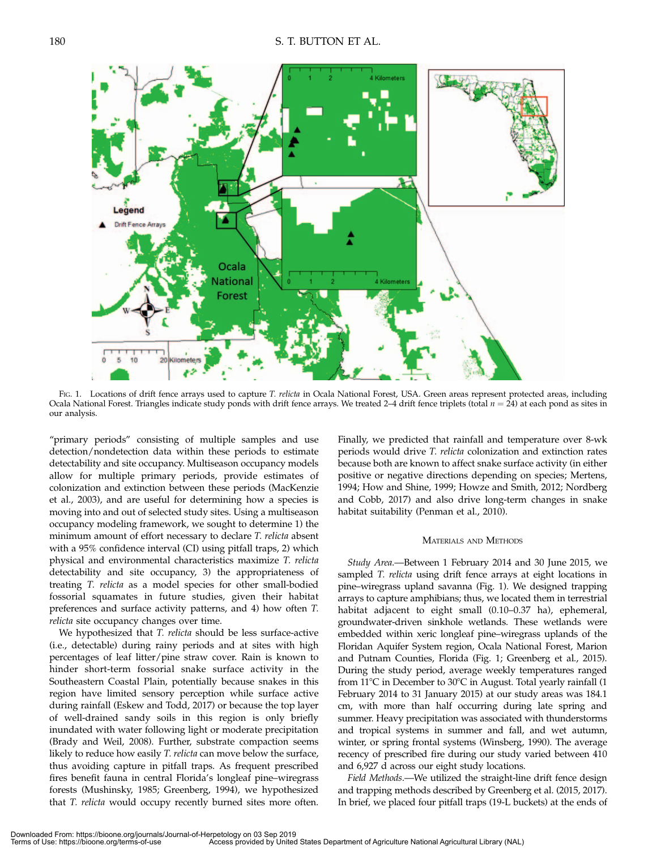

FIG. 1. Locations of drift fence arrays used to capture T. relicta in Ocala National Forest, USA. Green areas represent protected areas, including Ocala National Forest. Triangles indicate study ponds with drift fence arrays. We treated 2-4 drift fence triplets (total  $n = 24$ ) at each pond as sites in our analysis.

"primary periods" consisting of multiple samples and use detection/nondetection data within these periods to estimate detectability and site occupancy. Multiseason occupancy models allow for multiple primary periods, provide estimates of colonization and extinction between these periods (MacKenzie et al., 2003), and are useful for determining how a species is moving into and out of selected study sites. Using a multiseason occupancy modeling framework, we sought to determine 1) the minimum amount of effort necessary to declare T. relicta absent with a 95% confidence interval (CI) using pitfall traps, 2) which physical and environmental characteristics maximize T. relicta detectability and site occupancy, 3) the appropriateness of treating T. relicta as a model species for other small-bodied fossorial squamates in future studies, given their habitat preferences and surface activity patterns, and 4) how often T. relicta site occupancy changes over time.

We hypothesized that T. relicta should be less surface-active (i.e., detectable) during rainy periods and at sites with high percentages of leaf litter/pine straw cover. Rain is known to hinder short-term fossorial snake surface activity in the Southeastern Coastal Plain, potentially because snakes in this region have limited sensory perception while surface active during rainfall (Eskew and Todd, 2017) or because the top layer of well-drained sandy soils in this region is only briefly inundated with water following light or moderate precipitation (Brady and Weil, 2008). Further, substrate compaction seems likely to reduce how easily T. relicta can move below the surface, thus avoiding capture in pitfall traps. As frequent prescribed fires benefit fauna in central Florida's longleaf pine–wiregrass forests (Mushinsky, 1985; Greenberg, 1994), we hypothesized that T. relicta would occupy recently burned sites more often.

Finally, we predicted that rainfall and temperature over 8-wk periods would drive T. relicta colonization and extinction rates because both are known to affect snake surface activity (in either positive or negative directions depending on species; Mertens, 1994; How and Shine, 1999; Howze and Smith, 2012; Nordberg and Cobb, 2017) and also drive long-term changes in snake habitat suitability (Penman et al., 2010).

### MATERIALS AND METHODS

Study Area.—Between 1 February 2014 and 30 June 2015, we sampled *T. relicta* using drift fence arrays at eight locations in pine–wiregrass upland savanna (Fig. 1). We designed trapping arrays to capture amphibians; thus, we located them in terrestrial habitat adjacent to eight small (0.10–0.37 ha), ephemeral, groundwater-driven sinkhole wetlands. These wetlands were embedded within xeric longleaf pine–wiregrass uplands of the Floridan Aquifer System region, Ocala National Forest, Marion and Putnam Counties, Florida (Fig. 1; Greenberg et al., 2015). During the study period, average weekly temperatures ranged from 11 $\degree$ C in December to 30 $\degree$ C in August. Total yearly rainfall (1 February 2014 to 31 January 2015) at our study areas was 184.1 cm, with more than half occurring during late spring and summer. Heavy precipitation was associated with thunderstorms and tropical systems in summer and fall, and wet autumn, winter, or spring frontal systems (Winsberg, 1990). The average recency of prescribed fire during our study varied between 410 and 6,927 d across our eight study locations.

Field Methods.—We utilized the straight-line drift fence design and trapping methods described by Greenberg et al. (2015, 2017). In brief, we placed four pitfall traps (19-L buckets) at the ends of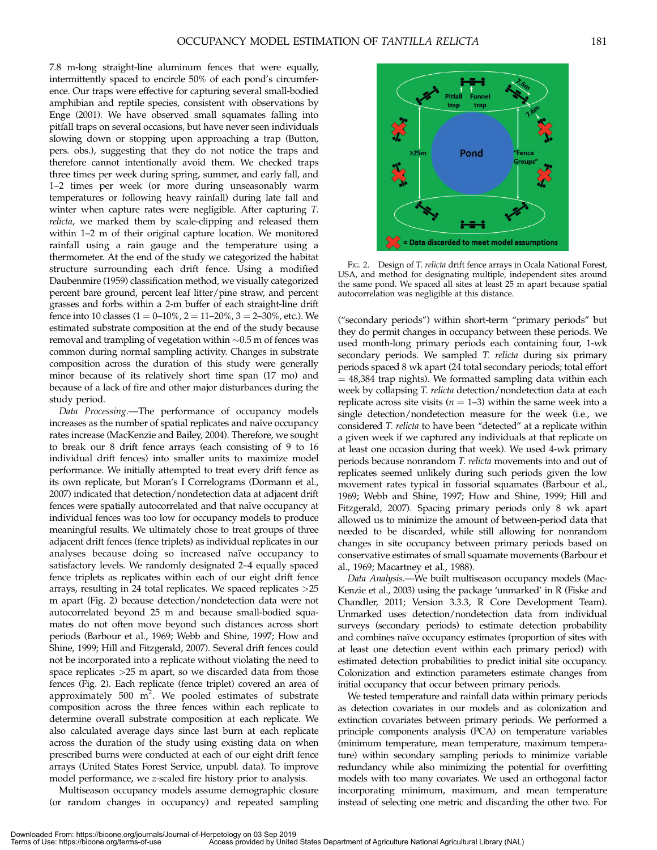7.8 m-long straight-line aluminum fences that were equally, intermittently spaced to encircle 50% of each pond's circumference. Our traps were effective for capturing several small-bodied amphibian and reptile species, consistent with observations by Enge (2001). We have observed small squamates falling into pitfall traps on several occasions, but have never seen individuals slowing down or stopping upon approaching a trap (Button, pers. obs.), suggesting that they do not notice the traps and therefore cannot intentionally avoid them. We checked traps three times per week during spring, summer, and early fall, and 1–2 times per week (or more during unseasonably warm temperatures or following heavy rainfall) during late fall and winter when capture rates were negligible. After capturing T. relicta, we marked them by scale-clipping and released them within 1–2 m of their original capture location. We monitored rainfall using a rain gauge and the temperature using a thermometer. At the end of the study we categorized the habitat structure surrounding each drift fence. Using a modified Daubenmire (1959) classification method, we visually categorized percent bare ground, percent leaf litter/pine straw, and percent grasses and forbs within a 2-m buffer of each straight-line drift fence into 10 classes  $(1 = 0-10\%, 2 = 11-20\%, 3 = 2-30\%,$  etc.). We estimated substrate composition at the end of the study because removal and trampling of vegetation within  $\sim 0.5$  m of fences was common during normal sampling activity. Changes in substrate composition across the duration of this study were generally minor because of its relatively short time span (17 mo) and because of a lack of fire and other major disturbances during the study period.

Data Processing.—The performance of occupancy models increases as the number of spatial replicates and naïve occupancy rates increase (MacKenzie and Bailey, 2004). Therefore, we sought to break our 8 drift fence arrays (each consisting of 9 to 16 individual drift fences) into smaller units to maximize model performance. We initially attempted to treat every drift fence as its own replicate, but Moran's I Correlograms (Dormann et al., 2007) indicated that detection/nondetection data at adjacent drift fences were spatially autocorrelated and that naïve occupancy at individual fences was too low for occupancy models to produce meaningful results. We ultimately chose to treat groups of three adjacent drift fences (fence triplets) as individual replicates in our analyses because doing so increased naïve occupancy to satisfactory levels. We randomly designated 2–4 equally spaced fence triplets as replicates within each of our eight drift fence arrays, resulting in 24 total replicates. We spaced replicates >25 m apart (Fig. 2) because detection/nondetection data were not autocorrelated beyond 25 m and because small-bodied squamates do not often move beyond such distances across short periods (Barbour et al., 1969; Webb and Shine, 1997; How and Shine, 1999; Hill and Fitzgerald, 2007). Several drift fences could not be incorporated into a replicate without violating the need to space replicates >25 m apart, so we discarded data from those fences (Fig. 2). Each replicate (fence triplet) covered an area of approximately 500  $m^2$ . We pooled estimates of substrate composition across the three fences within each replicate to determine overall substrate composition at each replicate. We also calculated average days since last burn at each replicate across the duration of the study using existing data on when prescribed burns were conducted at each of our eight drift fence arrays (United States Forest Service, unpubl. data). To improve model performance, we z-scaled fire history prior to analysis.

Multiseason occupancy models assume demographic closure (or random changes in occupancy) and repeated sampling



FIG. 2. Design of T. relicta drift fence arrays in Ocala National Forest, USA, and method for designating multiple, independent sites around the same pond. We spaced all sites at least 25 m apart because spatial autocorrelation was negligible at this distance.

(''secondary periods'') within short-term ''primary periods'' but they do permit changes in occupancy between these periods. We used month-long primary periods each containing four, 1-wk secondary periods. We sampled T. relicta during six primary periods spaced 8 wk apart (24 total secondary periods; total effort  $= 48,384$  trap nights). We formatted sampling data within each week by collapsing T. relicta detection/nondetection data at each replicate across site visits ( $n = 1-3$ ) within the same week into a single detection/nondetection measure for the week (i.e., we considered T. relicta to have been "detected" at a replicate within a given week if we captured any individuals at that replicate on at least one occasion during that week). We used 4-wk primary periods because nonrandom T. relicta movements into and out of replicates seemed unlikely during such periods given the low movement rates typical in fossorial squamates (Barbour et al., 1969; Webb and Shine, 1997; How and Shine, 1999; Hill and Fitzgerald, 2007). Spacing primary periods only 8 wk apart allowed us to minimize the amount of between-period data that needed to be discarded, while still allowing for nonrandom changes in site occupancy between primary periods based on conservative estimates of small squamate movements (Barbour et al., 1969; Macartney et al., 1988).

Data Analysis.—We built multiseason occupancy models (Mac-Kenzie et al., 2003) using the package 'unmarked' in R (Fiske and Chandler, 2011; Version 3.3.3, R Core Development Team). Unmarked uses detection/nondetection data from individual surveys (secondary periods) to estimate detection probability and combines naïve occupancy estimates (proportion of sites with at least one detection event within each primary period) with estimated detection probabilities to predict initial site occupancy. Colonization and extinction parameters estimate changes from initial occupancy that occur between primary periods.

We tested temperature and rainfall data within primary periods as detection covariates in our models and as colonization and extinction covariates between primary periods. We performed a principle components analysis (PCA) on temperature variables (minimum temperature, mean temperature, maximum temperature) within secondary sampling periods to minimize variable redundancy while also minimizing the potential for overfitting models with too many covariates. We used an orthogonal factor incorporating minimum, maximum, and mean temperature instead of selecting one metric and discarding the other two. For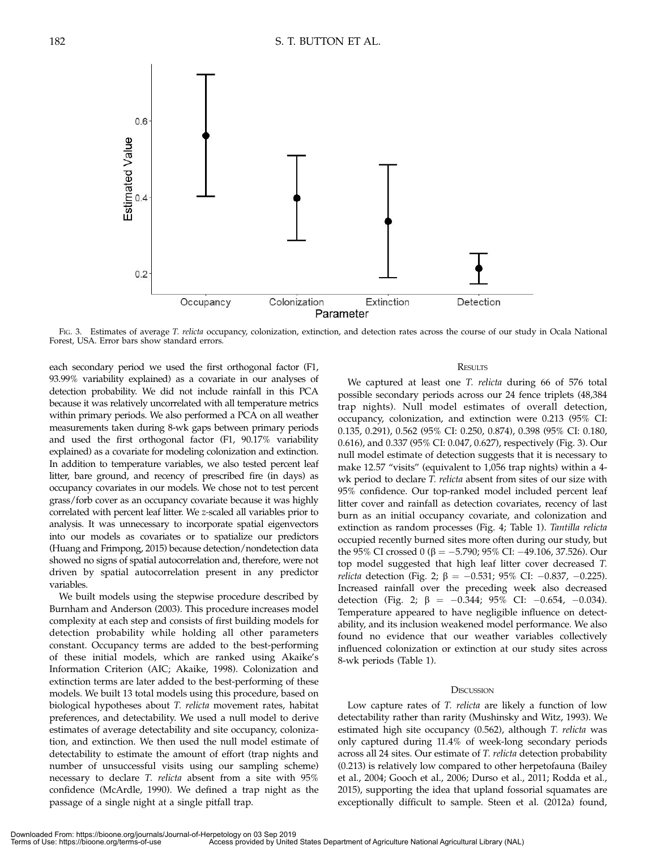

FIG. 3. Estimates of average T. relicta occupancy, colonization, extinction, and detection rates across the course of our study in Ocala National Forest, USA. Error bars show standard errors.

each secondary period we used the first orthogonal factor (F1, 93.99% variability explained) as a covariate in our analyses of detection probability. We did not include rainfall in this PCA because it was relatively uncorrelated with all temperature metrics within primary periods. We also performed a PCA on all weather measurements taken during 8-wk gaps between primary periods and used the first orthogonal factor (F1, 90.17% variability explained) as a covariate for modeling colonization and extinction. In addition to temperature variables, we also tested percent leaf litter, bare ground, and recency of prescribed fire (in days) as occupancy covariates in our models. We chose not to test percent grass/forb cover as an occupancy covariate because it was highly correlated with percent leaf litter. We z-scaled all variables prior to analysis. It was unnecessary to incorporate spatial eigenvectors into our models as covariates or to spatialize our predictors (Huang and Frimpong, 2015) because detection/nondetection data showed no signs of spatial autocorrelation and, therefore, were not driven by spatial autocorrelation present in any predictor variables.

We built models using the stepwise procedure described by Burnham and Anderson (2003). This procedure increases model complexity at each step and consists of first building models for detection probability while holding all other parameters constant. Occupancy terms are added to the best-performing of these initial models, which are ranked using Akaike's Information Criterion (AIC; Akaike, 1998). Colonization and extinction terms are later added to the best-performing of these models. We built 13 total models using this procedure, based on biological hypotheses about T. relicta movement rates, habitat preferences, and detectability. We used a null model to derive estimates of average detectability and site occupancy, colonization, and extinction. We then used the null model estimate of detectability to estimate the amount of effort (trap nights and number of unsuccessful visits using our sampling scheme) necessary to declare T. relicta absent from a site with 95% confidence (McArdle, 1990). We defined a trap night as the passage of a single night at a single pitfall trap.

#### **RESULTS**

We captured at least one T. relicta during 66 of 576 total possible secondary periods across our 24 fence triplets (48,384 trap nights). Null model estimates of overall detection, occupancy, colonization, and extinction were 0.213 (95% CI: 0.135, 0.291), 0.562 (95% CI: 0.250, 0.874), 0.398 (95% CI: 0.180, 0.616), and 0.337 (95% CI: 0.047, 0.627), respectively (Fig. 3). Our null model estimate of detection suggests that it is necessary to make 12.57 "visits" (equivalent to 1,056 trap nights) within a 4wk period to declare *T. relicta* absent from sites of our size with 95% confidence. Our top-ranked model included percent leaf litter cover and rainfall as detection covariates, recency of last burn as an initial occupancy covariate, and colonization and extinction as random processes (Fig. 4; Table 1). Tantilla relicta occupied recently burned sites more often during our study, but the 95% CI crossed 0 ( $\beta = -5.790$ ; 95% CI:  $-49.106$ , 37.526). Our top model suggested that high leaf litter cover decreased T. *relicta* detection (Fig. 2;  $\beta = -0.531$ ; 95% CI:  $-0.837$ ,  $-0.225$ ). Increased rainfall over the preceding week also decreased detection (Fig. 2;  $\beta = -0.344$ ; 95% CI:  $-0.654$ ,  $-0.034$ ). Temperature appeared to have negligible influence on detectability, and its inclusion weakened model performance. We also found no evidence that our weather variables collectively influenced colonization or extinction at our study sites across 8-wk periods (Table 1).

#### **DISCUSSION**

Low capture rates of T. relicta are likely a function of low detectability rather than rarity (Mushinsky and Witz, 1993). We estimated high site occupancy (0.562), although T. relicta was only captured during 11.4% of week-long secondary periods across all 24 sites. Our estimate of T. relicta detection probability (0.213) is relatively low compared to other herpetofauna (Bailey et al., 2004; Gooch et al., 2006; Durso et al., 2011; Rodda et al., 2015), supporting the idea that upland fossorial squamates are exceptionally difficult to sample. Steen et al. (2012a) found,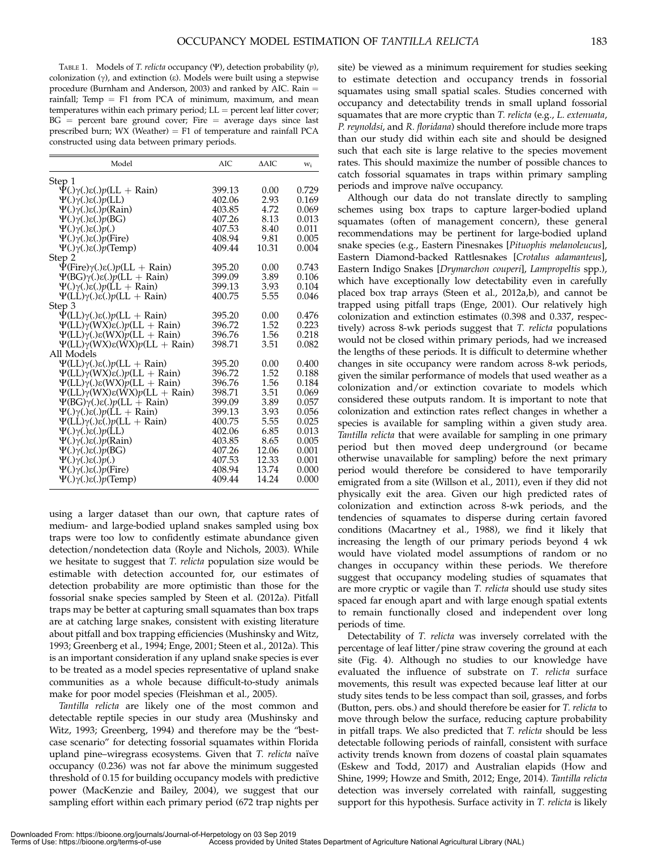TABLE 1. Models of T. relicta occupancy  $(\Psi)$ , detection probability  $(p)$ , colonization  $(\gamma)$ , and extinction  $(\epsilon)$ . Models were built using a stepwise procedure (Burnham and Anderson, 2003) and ranked by AIC. Rain = rainfall; Temp = F1 from PCA of minimum, maximum, and mean temperatures within each primary period;  $LL =$  percent leaf litter cover;  $BG$  = percent bare ground cover; Fire = average days since last prescribed burn;  $WX$  (Weather) = F1 of temperature and rainfall PCA constructed using data between primary periods.

| Model                                                        | AIC    | $\triangle$ AIC | W <sub>i</sub> |
|--------------------------------------------------------------|--------|-----------------|----------------|
| Step 1                                                       |        |                 |                |
| $\Psi(.)\gamma(.)\epsilon(.)p(LL + Rain)$                    | 399.13 | 0.00            | 0.729          |
| $\Psi(.)\gamma(.)\varepsilon(.)p(LL)$                        | 402.06 | 2.93            | 0.169          |
| $\Psi(.)\gamma(.)\epsilon(.)p(Rain)$                         | 403.85 | 4.72            | 0.069          |
| $\Psi(.)\gamma(.)\varepsilon(.)p(BG)$                        | 407.26 | 8.13            | 0.013          |
| $\Psi(.)\gamma(.)\varepsilon(.)p(.)$                         | 407.53 | 8.40            | 0.011          |
| $\Psi(.)\gamma(.)\varepsilon(.)p$ (Fire)                     | 408.94 | 9.81            | 0.005          |
| $\Psi(.)\gamma(.)\varepsilon(.)p$ (Temp)                     | 409.44 | 10.31           | 0.004          |
| Step 2                                                       |        |                 |                |
| $\Psi$ (Fire) $\gamma$ (.) $\varepsilon$ (.) $p$ (LL + Rain) | 395.20 | 0.00            | 0.743          |
| $\Psi(BG)$ γ(.)ε(.)p(LL + Rain)                              | 399.09 | 3.89            | 0.106          |
| $\Psi(.)\gamma(.)\epsilon(.)p(LL + Rain)$                    | 399.13 | 3.93            | 0.104          |
| $\Psi(L\dot{L})\gamma(.)\dot{\varepsilon}(.)p(LL + Rain)$    | 400.75 | 5.55            | 0.046          |
| Step 3                                                       |        |                 |                |
| $\Psi$ (LL) $\gamma$ (.) $\varepsilon$ (.) $p$ (LL + Rain)   | 395.20 | 0.00            | 0.476          |
| $\Psi$ (LL)γ(WX)ε(.)p(LL + Rain)                             | 396.72 | 1.52            | 0.223          |
| $\Psi$ (LL)γ(.)ε(WX)p(LL + Rain)                             | 396.76 | 1.56            | 0.218          |
| $\Psi$ (LL)γ(WX)ε(WX)p(LL + Rain)                            | 398.71 | 3.51            | 0.082          |
| All Models                                                   |        |                 |                |
| $\Psi$ (LL) $\gamma$ (.) $\varepsilon$ (.) $p$ (LL + Rain)   | 395.20 | 0.00            | 0.400          |
| $\Psi$ (LL) $\gamma$ (WX) $\varepsilon$ (.) $p$ (LL + Rain)  | 396.72 | 1.52            | 0.188          |
| $\Psi$ (LL) $\gamma$ (.) $\varepsilon$ (WX) $p$ (LL + Rain)  | 396.76 | 1.56            | 0.184          |
| $\Psi$ (LL)γ(WX)ε(WX)p(LL + Rain)                            | 398.71 | 3.51            | 0.069          |
| $\Psi(BG)\gamma(.)\varepsilon(.)p(LL + Rain)$                | 399.09 | 3.89            | 0.057          |
| $\Psi(.)\gamma(.)\epsilon(.)p(LL + Rain)$                    | 399.13 | 3.93            | 0.056          |
| $\Psi(L\dot{L})\gamma(.)\dot{\varepsilon}(.)p(LL + Rain)$    | 400.75 | 5.55            | 0.025          |
| $\Psi(.)\gamma(.)\varepsilon(.)p(LL)$                        | 402.06 | 6.85            | 0.013          |
| $\Psi(.)\gamma(.)\varepsilon(.)p(Rain)$                      | 403.85 | 8.65            | 0.005          |
| $\Psi(.)\gamma(.)\varepsilon(.)p(BG)$                        | 407.26 | 12.06           | 0.001          |
| $\Psi(.)\gamma(.)\varepsilon(.)p(.)$                         | 407.53 | 12.33           | 0.001          |
| $\Psi(.)\gamma(.)\varepsilon(.)p$ (Fire)                     | 408.94 | 13.74           | 0.000          |
| $\Psi(.)\gamma(.)\varepsilon(.)p$ (Temp)                     | 409.44 | 14.24           | 0.000          |
|                                                              |        |                 |                |

using a larger dataset than our own, that capture rates of medium- and large-bodied upland snakes sampled using box traps were too low to confidently estimate abundance given detection/nondetection data (Royle and Nichols, 2003). While we hesitate to suggest that T. relicta population size would be estimable with detection accounted for, our estimates of detection probability are more optimistic than those for the fossorial snake species sampled by Steen et al. (2012a). Pitfall traps may be better at capturing small squamates than box traps are at catching large snakes, consistent with existing literature about pitfall and box trapping efficiencies (Mushinsky and Witz, 1993; Greenberg et al., 1994; Enge, 2001; Steen et al., 2012a). This is an important consideration if any upland snake species is ever to be treated as a model species representative of upland snake communities as a whole because difficult-to-study animals make for poor model species (Fleishman et al., 2005).

Tantilla relicta are likely one of the most common and detectable reptile species in our study area (Mushinsky and Witz, 1993; Greenberg, 1994) and therefore may be the "bestcase scenario'' for detecting fossorial squamates within Florida upland pine–wiregrass ecosystems. Given that T. relicta naïve occupancy (0.236) was not far above the minimum suggested threshold of 0.15 for building occupancy models with predictive power (MacKenzie and Bailey, 2004), we suggest that our sampling effort within each primary period (672 trap nights per site) be viewed as a minimum requirement for studies seeking to estimate detection and occupancy trends in fossorial squamates using small spatial scales. Studies concerned with occupancy and detectability trends in small upland fossorial squamates that are more cryptic than T. relicta (e.g., L. extenuata, P. reynoldsi, and R. floridana) should therefore include more traps than our study did within each site and should be designed such that each site is large relative to the species movement rates. This should maximize the number of possible chances to catch fossorial squamates in traps within primary sampling periods and improve naïve occupancy.

Although our data do not translate directly to sampling schemes using box traps to capture larger-bodied upland squamates (often of management concern), these general recommendations may be pertinent for large-bodied upland snake species (e.g., Eastern Pinesnakes [Pituophis melanoleucus], Eastern Diamond-backed Rattlesnakes [Crotalus adamanteus], Eastern Indigo Snakes [Drymarchon couperi], Lampropeltis spp.), which have exceptionally low detectability even in carefully placed box trap arrays (Steen et al., 2012a,b), and cannot be trapped using pitfall traps (Enge, 2001). Our relatively high colonization and extinction estimates (0.398 and 0.337, respectively) across 8-wk periods suggest that T. relicta populations would not be closed within primary periods, had we increased the lengths of these periods. It is difficult to determine whether changes in site occupancy were random across 8-wk periods, given the similar performance of models that used weather as a colonization and/or extinction covariate to models which considered these outputs random. It is important to note that colonization and extinction rates reflect changes in whether a species is available for sampling within a given study area. Tantilla relicta that were available for sampling in one primary period but then moved deep underground (or became otherwise unavailable for sampling) before the next primary period would therefore be considered to have temporarily emigrated from a site (Willson et al., 2011), even if they did not physically exit the area. Given our high predicted rates of colonization and extinction across 8-wk periods, and the tendencies of squamates to disperse during certain favored conditions (Macartney et al., 1988), we find it likely that increasing the length of our primary periods beyond 4 wk would have violated model assumptions of random or no changes in occupancy within these periods. We therefore suggest that occupancy modeling studies of squamates that are more cryptic or vagile than T. relicta should use study sites spaced far enough apart and with large enough spatial extents to remain functionally closed and independent over long periods of time.

Detectability of T. relicta was inversely correlated with the percentage of leaf litter/pine straw covering the ground at each site (Fig. 4). Although no studies to our knowledge have evaluated the influence of substrate on T. relicta surface movements, this result was expected because leaf litter at our study sites tends to be less compact than soil, grasses, and forbs (Button, pers. obs.) and should therefore be easier for T. relicta to move through below the surface, reducing capture probability in pitfall traps. We also predicted that T. relicta should be less detectable following periods of rainfall, consistent with surface activity trends known from dozens of coastal plain squamates (Eskew and Todd, 2017) and Australian elapids (How and Shine, 1999; Howze and Smith, 2012; Enge, 2014). Tantilla relicta detection was inversely correlated with rainfall, suggesting support for this hypothesis. Surface activity in T. relicta is likely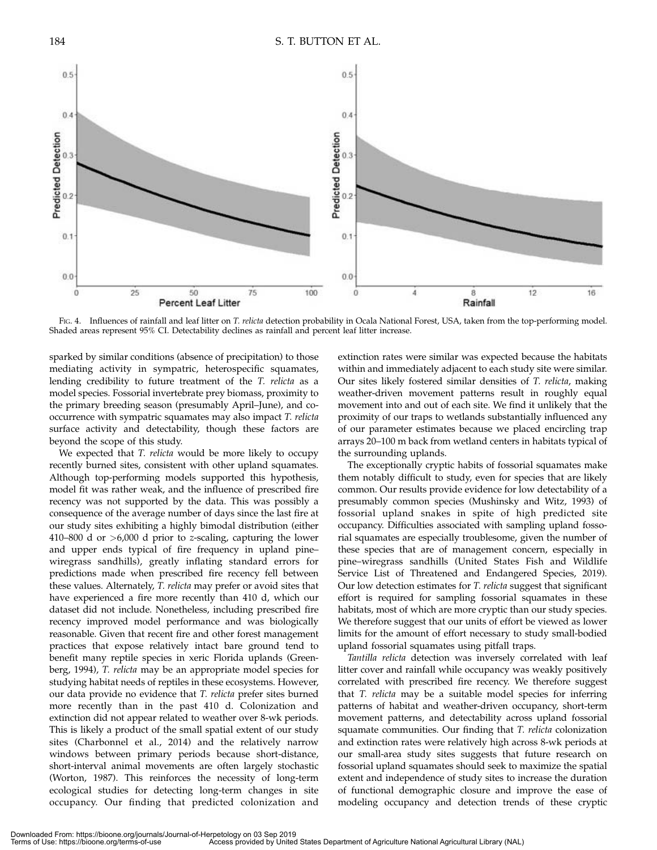

FIG. 4. Influences of rainfall and leaf litter on T. relicta detection probability in Ocala National Forest, USA, taken from the top-performing model. Shaded areas represent 95% CI. Detectability declines as rainfall and percent leaf litter increase.

sparked by similar conditions (absence of precipitation) to those mediating activity in sympatric, heterospecific squamates, lending credibility to future treatment of the T. relicta as a model species. Fossorial invertebrate prey biomass, proximity to the primary breeding season (presumably April–June), and cooccurrence with sympatric squamates may also impact T. relicta surface activity and detectability, though these factors are beyond the scope of this study.

We expected that T. relicta would be more likely to occupy recently burned sites, consistent with other upland squamates. Although top-performing models supported this hypothesis, model fit was rather weak, and the influence of prescribed fire recency was not supported by the data. This was possibly a consequence of the average number of days since the last fire at our study sites exhibiting a highly bimodal distribution (either 410–800 d or >6,000 d prior to z-scaling, capturing the lower and upper ends typical of fire frequency in upland pine– wiregrass sandhills), greatly inflating standard errors for predictions made when prescribed fire recency fell between these values. Alternately, T. relicta may prefer or avoid sites that have experienced a fire more recently than 410 d, which our dataset did not include. Nonetheless, including prescribed fire recency improved model performance and was biologically reasonable. Given that recent fire and other forest management practices that expose relatively intact bare ground tend to benefit many reptile species in xeric Florida uplands (Greenberg, 1994), T. relicta may be an appropriate model species for studying habitat needs of reptiles in these ecosystems. However, our data provide no evidence that T. relicta prefer sites burned more recently than in the past 410 d. Colonization and extinction did not appear related to weather over 8-wk periods. This is likely a product of the small spatial extent of our study sites (Charbonnel et al., 2014) and the relatively narrow windows between primary periods because short-distance, short-interval animal movements are often largely stochastic (Worton, 1987). This reinforces the necessity of long-term ecological studies for detecting long-term changes in site occupancy. Our finding that predicted colonization and extinction rates were similar was expected because the habitats within and immediately adjacent to each study site were similar. Our sites likely fostered similar densities of T. relicta, making weather-driven movement patterns result in roughly equal movement into and out of each site. We find it unlikely that the proximity of our traps to wetlands substantially influenced any of our parameter estimates because we placed encircling trap arrays 20–100 m back from wetland centers in habitats typical of the surrounding uplands.

The exceptionally cryptic habits of fossorial squamates make them notably difficult to study, even for species that are likely common. Our results provide evidence for low detectability of a presumably common species (Mushinsky and Witz, 1993) of fossorial upland snakes in spite of high predicted site occupancy. Difficulties associated with sampling upland fossorial squamates are especially troublesome, given the number of these species that are of management concern, especially in pine–wiregrass sandhills (United States Fish and Wildlife Service List of Threatened and Endangered Species, 2019). Our low detection estimates for T. relicta suggest that significant effort is required for sampling fossorial squamates in these habitats, most of which are more cryptic than our study species. We therefore suggest that our units of effort be viewed as lower limits for the amount of effort necessary to study small-bodied upland fossorial squamates using pitfall traps.

Tantilla relicta detection was inversely correlated with leaf litter cover and rainfall while occupancy was weakly positively correlated with prescribed fire recency. We therefore suggest that T. relicta may be a suitable model species for inferring patterns of habitat and weather-driven occupancy, short-term movement patterns, and detectability across upland fossorial squamate communities. Our finding that T. relicta colonization and extinction rates were relatively high across 8-wk periods at our small-area study sites suggests that future research on fossorial upland squamates should seek to maximize the spatial extent and independence of study sites to increase the duration of functional demographic closure and improve the ease of modeling occupancy and detection trends of these cryptic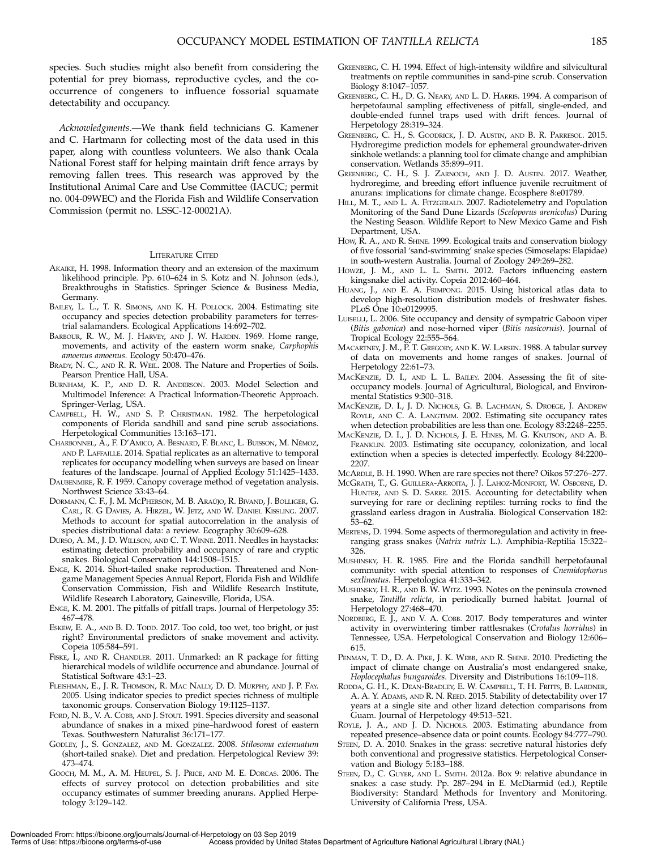species. Such studies might also benefit from considering the potential for prey biomass, reproductive cycles, and the cooccurrence of congeners to influence fossorial squamate detectability and occupancy.

Acknowledgments.—We thank field technicians G. Kamener and C. Hartmann for collecting most of the data used in this paper, along with countless volunteers. We also thank Ocala National Forest staff for helping maintain drift fence arrays by removing fallen trees. This research was approved by the Institutional Animal Care and Use Committee (IACUC; permit no. 004-09WEC) and the Florida Fish and Wildlife Conservation Commission (permit no. LSSC-12-00021A).

## LITERATURE CITED

- AKAIKE, H. 1998. Information theory and an extension of the maximum likelihood principle. Pp. 610–624 in S. Kotz and N. Johnson (eds.), Breakthroughs in Statistics. Springer Science & Business Media, Germany.
- BAILEY, L. L., T. R. SIMONS, AND K. H. POLLOCK. 2004. Estimating site occupancy and species detection probability parameters for terrestrial salamanders. Ecological Applications 14:692–702.
- BARBOUR, R. W., M. J. HARVEY, AND J. W. HARDIN. 1969. Home range, movements, and activity of the eastern worm snake, Carphophis amoenus amoenus. Ecology 50:470–476.
- BRADY, N. C., AND R. R. WEIL. 2008. The Nature and Properties of Soils. Pearson Prentice Hall, USA.
- BURNHAM, K. P., AND D. R. ANDERSON. 2003. Model Selection and Multimodel Inference: A Practical Information-Theoretic Approach. Springer-Verlag, USA.
- CAMPBELL, H. W., AND S. P. CHRISTMAN. 1982. The herpetological components of Florida sandhill and sand pine scrub associations. Herpetological Communities 13:163–171.
- CHARBONNEL, A., F. D'AMICO, A. BESNARD, F. BLANC, L. BUISSON, M. NÉMOZ, AND P. LAFFAILLE. 2014. Spatial replicates as an alternative to temporal replicates for occupancy modelling when surveys are based on linear features of the landscape. Journal of Applied Ecology 51:1425–1433.
- DAUBENMIRE, R. F. 1959. Canopy coverage method of vegetation analysis. Northwest Science 33:43–64.
- DORMANN, C. F., J. M. McPHERSON, M. B. ARAÚJO, R. BIVAND, J. BOLLIGER, G. CARL, R. G DAVIES, A. HIRZEL, W. JETZ, AND W. DANIEL KISSLING. 2007. Methods to account for spatial autocorrelation in the analysis of species distributional data: a review. Ecography 30:609–628.
- DURSO, A. M., J. D. WILLSON, AND C. T. WINNE. 2011. Needles in haystacks: estimating detection probability and occupancy of rare and cryptic snakes. Biological Conservation 144:1508–1515.
- ENGE, K. 2014. Short-tailed snake reproduction. Threatened and Nongame Management Species Annual Report, Florida Fish and Wildlife Conservation Commission, Fish and Wildlife Research Institute, Wildlife Research Laboratory, Gainesville, Florida, USA.
- ENGE, K. M. 2001. The pitfalls of pitfall traps. Journal of Herpetology 35: 467–478.
- ESKEW, E. A., AND B. D. TODD. 2017. Too cold, too wet, too bright, or just right? Environmental predictors of snake movement and activity. Copeia 105:584–591.
- FISKE, I., AND R. CHANDLER. 2011. Unmarked: an R package for fitting hierarchical models of wildlife occurrence and abundance. Journal of Statistical Software 43:1–23.
- FLEISHMAN, E., J. R. THOMSON, R. MAC NALLY, D. D. MURPHY, AND J. P. FAY. 2005. Using indicator species to predict species richness of multiple taxonomic groups. Conservation Biology 19:1125–1137.
- FORD, N. B., V. A. COBB, AND J. STOUT. 1991. Species diversity and seasonal abundance of snakes in a mixed pine–hardwood forest of eastern Texas. Southwestern Naturalist 36:171–177.
- GODLEY, J., S. GONZALEZ, AND M. GONZALEZ. 2008. Stilosoma extenuatum (short-tailed snake). Diet and predation. Herpetological Review 39: 473–474.
- GOOCH, M. M., A. M. HEUPEL, S. J. PRICE, AND M. E. DORCAS. 2006. The effects of survey protocol on detection probabilities and site occupancy estimates of summer breeding anurans. Applied Herpetology 3:129–142.
- GREENBERG, C. H. 1994. Effect of high-intensity wildfire and silvicultural treatments on reptile communities in sand-pine scrub. Conservation Biology 8:1047–1057.
- GREENBERG, C. H., D. G. NEARY, AND L. D. HARRIS. 1994. A comparison of herpetofaunal sampling effectiveness of pitfall, single-ended, and double-ended funnel traps used with drift fences. Journal of Herpetology 28:319–324.
- GREENBERG, C. H., S. GOODRICK, J. D. AUSTIN, AND B. R. PARRESOL. 2015. Hydroregime prediction models for ephemeral groundwater-driven sinkhole wetlands: a planning tool for climate change and amphibian conservation. Wetlands 35:899-911.
- GREENBERG, C. H., S. J. ZARNOCH, AND J. D. AUSTIN. 2017. Weather, hydroregime, and breeding effort influence juvenile recruitment of anurans: implications for climate change. Ecosphere 8:e01789.
- HILL, M. T., AND L. A. FITZGERALD. 2007. Radiotelemetry and Population Monitoring of the Sand Dune Lizards (Sceloporus arenicolus) During the Nesting Season. Wildlife Report to New Mexico Game and Fish Department, USA.
- HOW, R. A., AND R. SHINE. 1999. Ecological traits and conservation biology of five fossorial 'sand-swimming' snake species (Simoselaps: Elapidae) in south-western Australia. Journal of Zoology 249:269–282.
- HOWZE, J. M., AND L. L. SMITH. 2012. Factors influencing eastern kingsnake diel activity. Copeia 2012:460–464.
- HUANG, J., AND E. A. FRIMPONG. 2015. Using historical atlas data to develop high-resolution distribution models of freshwater fishes. PLoS One 10:e0129995.
- LUISELLI, L. 2006. Site occupancy and density of sympatric Gaboon viper (Bitis gabonica) and nose-horned viper (Bitis nasicornis). Journal of Tropical Ecology 22:555–564.
- MACARTNEY, J. M., P. T. GREGORY, AND K. W. LARSEN. 1988. A tabular survey of data on movements and home ranges of snakes. Journal of Herpetology 22:61–73.
- MACKENZIE, D. I., AND L. L. BAILEY. 2004. Assessing the fit of siteoccupancy models. Journal of Agricultural, Biological, and Environmental Statistics 9:300–318.
- MACKENZIE, D. I., J. D. NICHOLS, G. B. LACHMAN, S. DROEGE, J. ANDREW ROYLE, AND C. A. LANGTIMM. 2002. Estimating site occupancy rates when detection probabilities are less than one. Ecology 83:2248–2255.
- MACKENZIE, D. I., J. D. NICHOLS, J. E. HINES, M. G. KNUTSON, AND A. B. FRANKLIN. 2003. Estimating site occupancy, colonization, and local extinction when a species is detected imperfectly. Ecology 84:2200– 2207.
- MCARDLE, B. H. 1990. When are rare species not there? Oikos 57:276–277.
- MCGRATH, T., G. GUILLERA-ARROITA, J. J. LAHOZ-MONFORT, W. OSBORNE, D. HUNTER, AND S. D. SARRE. 2015. Accounting for detectability when surveying for rare or declining reptiles: turning rocks to find the grassland earless dragon in Australia. Biological Conservation 182: 53–62.
- MERTENS, D. 1994. Some aspects of thermoregulation and activity in freeranging grass snakes (Natrix natrix L.). Amphibia-Reptilia 15:322– 326.
- MUSHINSKY, H. R. 1985. Fire and the Florida sandhill herpetofaunal community: with special attention to responses of Cnemidophorus sexlineatus. Herpetologica 41:333–342.
- MUSHINSKY, H. R., AND B. W. WITZ. 1993. Notes on the peninsula crowned snake, Tantilla relicta, in periodically burned habitat. Journal of Herpetology 27:468–470.
- NORDBERG, E. J., AND V. A. COBB. 2017. Body temperatures and winter activity in overwintering timber rattlesnakes (Crotalus horridus) in Tennessee, USA. Herpetological Conservation and Biology 12:606– 615.
- PENMAN, T. D., D. A. PIKE, J. K. WEBB, AND R. SHINE. 2010. Predicting the impact of climate change on Australia's most endangered snake, Hoplocephalus bungaroides. Diversity and Distributions 16:109–118.
- RODDA, G. H., K. DEAN-BRADLEY, E. W. CAMPBELL, T. H. FRITTS, B. LARDNER, A. A. Y. ADAMS, AND R. N. REED. 2015. Stability of detectability over 17 years at a single site and other lizard detection comparisons from Guam. Journal of Herpetology 49:513–521.
- ROYLE, J. A., AND J. D. NICHOLS. 2003. Estimating abundance from repeated presence–absence data or point counts. Ecology 84:777–790.
- STEEN, D. A. 2010. Snakes in the grass: secretive natural histories defy both conventional and progressive statistics. Herpetological Conservation and Biology 5:183–188.
- STEEN, D., C. GUYER, AND L. SMITH. 2012a. Box 9: relative abundance in snakes: a case study. Pp. 287–294 in E. McDiarmid (ed.), Reptile Biodiversity: Standard Methods for Inventory and Monitoring. University of California Press, USA.